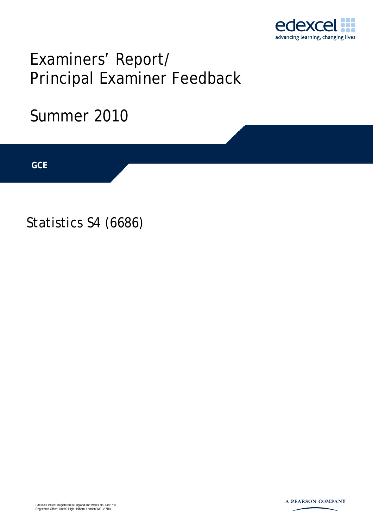

# Examiners' Report/ Principal Examiner Feedback

## Summer 2010

**IGCSE GCE** 

Statistics S4 (6686)

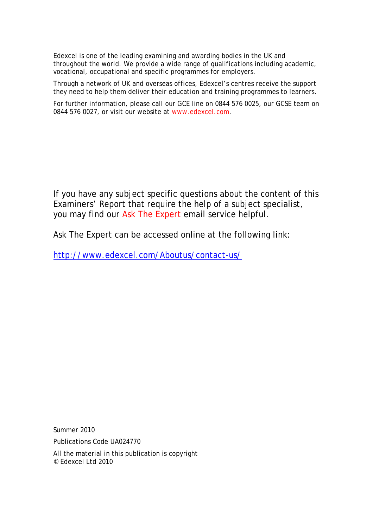Edexcel is one of the leading examining and awarding bodies in the UK and throughout the world. We provide a wide range of qualifications including academic, vocational, occupational and specific programmes for employers.

Through a network of UK and overseas offices, Edexcel's centres receive the support they need to help them deliver their education and training programmes to learners.

For further information, please call our GCE line on 0844 576 0025, our GCSE team on 0844 576 0027, or visit our website at www.edexcel.com.

If you have any subject specific questions about the content of this Examiners' Report that require the help of a subject specialist, you may find our Ask The Expert email service helpful.

Ask The Expert can be accessed online at the following link:

http://www.edexcel.com/Aboutus/contact-us/

Summer 2010

Publications Code UA024770

All the material in this publication is copyright © Edexcel Ltd 2010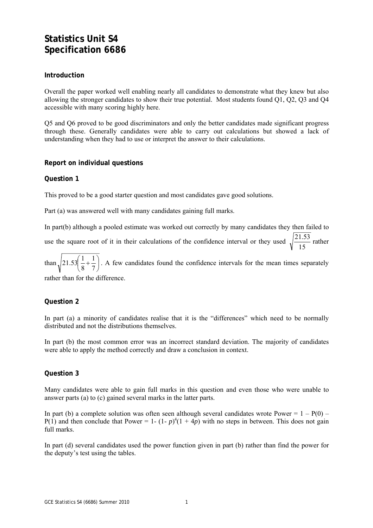### **Statistics Unit S4 Specification 6686**

#### **Introduction**

Overall the paper worked well enabling nearly all candidates to demonstrate what they knew but also allowing the stronger candidates to show their true potential. Most students found Q1, Q2, Q3 and Q4 accessible with many scoring highly here.

Q5 and Q6 proved to be good discriminators and only the better candidates made significant progress through these. Generally candidates were able to carry out calculations but showed a lack of understanding when they had to use or interpret the answer to their calculations.

#### **Report on individual questions**

#### **Question 1**

This proved to be a good starter question and most candidates gave good solutions.

Part (a) was answered well with many candidates gaining full marks.

In part(b) although a pooled estimate was worked out correctly by many candidates they then failed to use the square root of it in their calculations of the confidence interval or they used  $\sqrt{\frac{21.53}{15}}$  rather

than  $\frac{1}{2}$  21.53  $\frac{1}{2} + \frac{1}{7}$ ⎠  $\left(\frac{1}{2} + \frac{1}{7}\right)$ ⎝  $\left(\frac{1}{2}+\right)$ 7 1 8  $21.53 \left( \frac{1}{2} + \frac{1}{2} \right)$ . A few candidates found the confidence intervals for the mean times separately

rather than for the difference.

#### **Question 2**

In part (a) a minority of candidates realise that it is the "differences" which need to be normally distributed and not the distributions themselves.

In part (b) the most common error was an incorrect standard deviation. The majority of candidates were able to apply the method correctly and draw a conclusion in context.

#### **Question 3**

Many candidates were able to gain full marks in this question and even those who were unable to answer parts (a) to (c) gained several marks in the latter parts.

In part (b) a complete solution was often seen although several candidates wrote Power  $= 1 - P(0) P(1)$  and then conclude that Power = 1- (1- *p*)<sup>4</sup>(1 + 4*p*) with no steps in between. This does not gain full marks.

In part (d) several candidates used the power function given in part (b) rather than find the power for the deputy's test using the tables.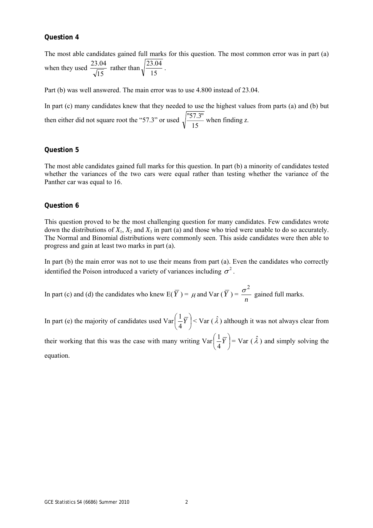#### **Question 4**

The most able candidates gained full marks for this question. The most common error was in part (a) when they used  $\frac{23.04}{\sqrt{15}}$  rather than 15  $\frac{23.04}{1}$ .

Part (b) was well answered. The main error was to use 4.800 instead of 23.04.

In part (c) many candidates knew that they needed to use the highest values from parts (a) and (b) but then either did not square root the "57.3" or used  $\sqrt{\frac{57.3}{15}}$  when finding *z*.

#### **Question 5**

The most able candidates gained full marks for this question. In part (b) a minority of candidates tested whether the variances of the two cars were equal rather than testing whether the variance of the Panther car was equal to 16.

#### **Question 6**

This question proved to be the most challenging question for many candidates. Few candidates wrote down the distributions of  $X_1$ ,  $X_2$  and  $X_3$  in part (a) and those who tried were unable to do so accurately. The Normal and Binomial distributions were commonly seen. This aside candidates were then able to progress and gain at least two marks in part (a).

In part (b) the main error was not to use their means from part (a). Even the candidates who correctly identified the Poison introduced a variety of variances including  $\sigma^2$ .

In part (c) and (d) the candidates who knew  $E(\overline{Y}) = \mu$  and  $Var(\overline{Y}) =$ *n*  $\sigma^2$  gained full marks.

In part (e) the majority of candidates used Var  $\left|\frac{1}{t}Y\right|$ ⎠  $\left(\frac{1}{I}\overline{Y}\right)$ ⎝  $\left(\frac{1}{f}\right)$ 4  $\left(\frac{1}{K}\right)^{n}$  < Var  $(\hat{\lambda})$  although it was not always clear from

their working that this was the case with many writing  $Var\left[\frac{1}{r} \overline{Y}\right]$ ⎠  $\left(\frac{1}{I}\overline{Y}\right)$ ⎝  $\left(\frac{1}{f}\right)$ 4  $\left(\frac{1}{Y}\right)$  = Var  $(\hat{\lambda})$  and simply solving the equation.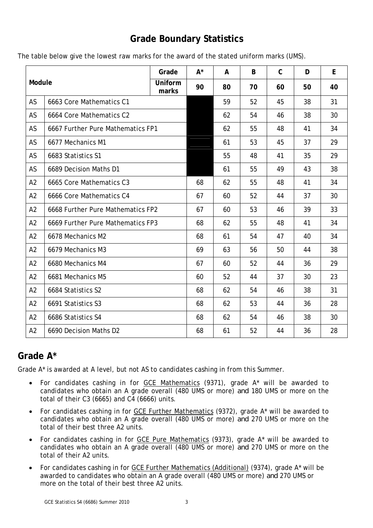## **Grade Boundary Statistics**

|  |  | The table below give the lowest raw marks for the award of the stated uniform marks (UMS). |
|--|--|--------------------------------------------------------------------------------------------|
|--|--|--------------------------------------------------------------------------------------------|

| Module         |                                   | Grade                   | $A^*$ | A  | B  | $\mathsf{C}$ | D  | E  |
|----------------|-----------------------------------|-------------------------|-------|----|----|--------------|----|----|
|                |                                   | <b>Uniform</b><br>marks | 90    | 80 | 70 | 60           | 50 | 40 |
| AS             | 6663 Core Mathematics C1          |                         |       | 59 | 52 | 45           | 38 | 31 |
| <b>AS</b>      | 6664 Core Mathematics C2          |                         |       | 62 | 54 | 46           | 38 | 30 |
| AS             | 6667 Further Pure Mathematics FP1 |                         |       | 62 | 55 | 48           | 41 | 34 |
| AS             | 6677 Mechanics M1                 |                         |       | 61 | 53 | 45           | 37 | 29 |
| <b>AS</b>      | 6683 Statistics S1                |                         |       | 55 | 48 | 41           | 35 | 29 |
| AS             | 6689 Decision Maths D1            |                         |       | 61 | 55 | 49           | 43 | 38 |
| A2             | 6665 Core Mathematics C3          |                         | 68    | 62 | 55 | 48           | 41 | 34 |
| A2             | 6666 Core Mathematics C4          |                         | 67    | 60 | 52 | 44           | 37 | 30 |
| A2             | 6668 Further Pure Mathematics FP2 |                         | 67    | 60 | 53 | 46           | 39 | 33 |
| A2             | 6669 Further Pure Mathematics FP3 |                         | 68    | 62 | 55 | 48           | 41 | 34 |
| A2             | 6678 Mechanics M2                 |                         | 68    | 61 | 54 | 47           | 40 | 34 |
| A2             | 6679 Mechanics M3                 |                         | 69    | 63 | 56 | 50           | 44 | 38 |
| A2             | 6680 Mechanics M4                 |                         | 67    | 60 | 52 | 44           | 36 | 29 |
| A2             | 6681 Mechanics M5                 |                         | 60    | 52 | 44 | 37           | 30 | 23 |
| A2             | 6684 Statistics S2                |                         | 68    | 62 | 54 | 46           | 38 | 31 |
| A2             | 6691 Statistics S3                |                         | 68    | 62 | 53 | 44           | 36 | 28 |
| A <sub>2</sub> | 6686 Statistics S4                |                         | 68    | 62 | 54 | 46           | 38 | 30 |
| A2             | 6690 Decision Maths D2            |                         | 68    | 61 | 52 | 44           | 36 | 28 |

## **Grade A\***

Grade A\* is awarded at A level, but not AS to candidates cashing in from this Summer.

- For candidates cashing in for GCE Mathematics (9371), grade A\* will be awarded to candidates who obtain an A grade overall (480 UMS or more) *and* 180 UMS or more on the total of their C3 (6665) and C4 (6666) units.
- For candidates cashing in for GCE Further Mathematics (9372), grade A\* will be awarded to candidates who obtain an A grade overall (480 UMS or more) *and* 270 UMS or more on the total of their best three A2 units.
- For candidates cashing in for GCE Pure Mathematics (9373), grade A\* will be awarded to candidates who obtain an A grade overall (480 UMS or more) *and* 270 UMS or more on the total of their A2 units.
- For candidates cashing in for GCE Further Mathematics (Additional) (9374), grade A\* will be awarded to candidates who obtain an A grade overall (480 UMS or more) *and* 270 UMS or more on the total of their best three A2 units.